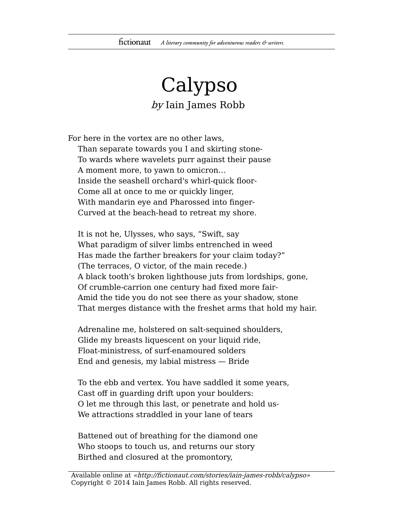## Calypso by Iain James Robb

For here in the vortex are no other laws,

Than separate towards you I and skirting stone-To wards where wavelets purr against their pause A moment more, to yawn to omicron… Inside the seashell orchard's whirl-quick floor-Come all at once to me or quickly linger, With mandarin eye and Pharossed into finger-Curved at the beach-head to retreat my shore.

It is not he, Ulysses, who says, "Swift, say What paradigm of silver limbs entrenched in weed Has made the farther breakers for your claim today?" (The terraces, O victor, of the main recede.) A black tooth's broken lighthouse juts from lordships, gone, Of crumble-carrion one century had fixed more fair-Amid the tide you do not see there as your shadow, stone That merges distance with the freshet arms that hold my hair.

Adrenaline me, holstered on salt-sequined shoulders, Glide my breasts liquescent on your liquid ride, Float-ministress, of surf-enamoured solders End and genesis, my labial mistress — Bride

To the ebb and vertex. You have saddled it some years, Cast off in guarding drift upon your boulders: O let me through this last, or penetrate and hold us-We attractions straddled in your lane of tears

Battened out of breathing for the diamond one Who stoops to touch us, and returns our story Birthed and closured at the promontory,

Available online at «http://fictionaut.com/stories/iain-james-robb/calypso» Copyright © 2014 Iain James Robb. All rights reserved.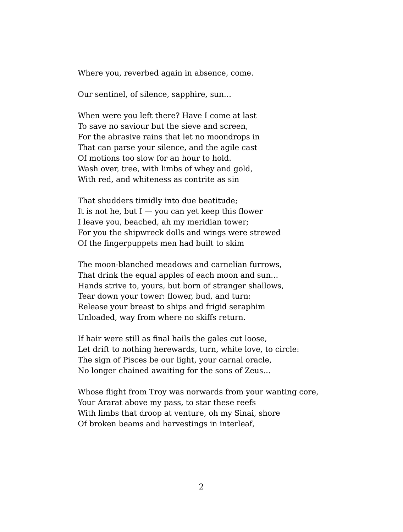Where you, reverbed again in absence, come.

Our sentinel, of silence, sapphire, sun…

When were you left there? Have I come at last To save no saviour but the sieve and screen, For the abrasive rains that let no moondrops in That can parse your silence, and the agile cast Of motions too slow for an hour to hold. Wash over, tree, with limbs of whey and gold, With red, and whiteness as contrite as sin

That shudders timidly into due beatitude; It is not he, but  $I - you$  can yet keep this flower I leave you, beached, ah my meridian tower; For you the shipwreck dolls and wings were strewed Of the fingerpuppets men had built to skim

The moon-blanched meadows and carnelian furrows, That drink the equal apples of each moon and sun… Hands strive to, yours, but born of stranger shallows, Tear down your tower: flower, bud, and turn: Release your breast to ships and frigid seraphim Unloaded, way from where no skiffs return.

If hair were still as final hails the gales cut loose, Let drift to nothing herewards, turn, white love, to circle: The sign of Pisces be our light, your carnal oracle, No longer chained awaiting for the sons of Zeus…

Whose flight from Troy was norwards from your wanting core, Your Ararat above my pass, to star these reefs With limbs that droop at venture, oh my Sinai, shore Of broken beams and harvestings in interleaf,